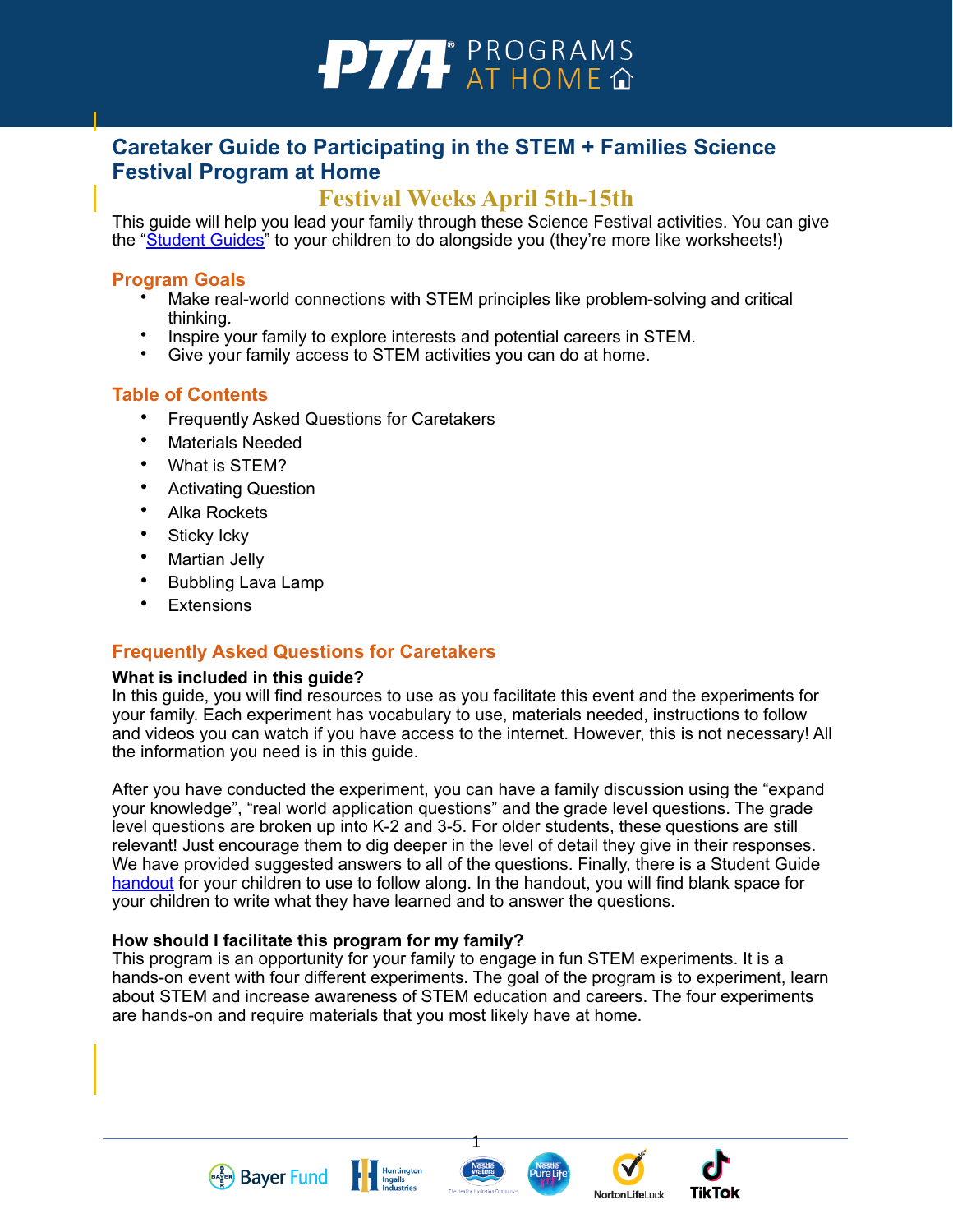

# **Caretaker Guide to Participating in the STEM + Families Science Festival Program at Home**

# **Festival Weeks April 5th-15th**

This guide will help you lead your family through these Science Festival activities. You can give the ["Student Guides"](https://www.pta.org/docs/default-source/files/programs/stem/2021/bayer/tech-free/student-guide.docx) to your children to do alongside you (they're more like worksheets!)

#### **Program Goals**

- Make real-world connections with STEM principles like problem-solving and critical thinking.
- Inspire your family to explore interests and potential careers in STEM.
- Give your family access to STEM activities you can do at home.

# **Table of Contents**

- Frequently Asked Questions for Caretakers
- Materials Needed
- What is STEM?
- Activating Question
- Alka Rockets
- Sticky Icky
- Martian Jelly
- Bubbling Lava Lamp
- **Extensions**

# **Frequently Asked Questions for Caretakers**

#### **What is included in this guide?**

In this guide, you will find resources to use as you facilitate this event and the experiments for your family. Each experiment has vocabulary to use, materials needed, instructions to follow and videos you can watch if you have access to the internet. However, this is not necessary! All the information you need is in this guide.

After you have conducted the experiment, you can have a family discussion using the "expand your knowledge", "real world application questions" and the grade level questions. The grade level questions are broken up into K-2 and 3-5. For older students, these questions are still relevant! Just encourage them to dig deeper in the level of detail they give in their responses. We have provided suggested answers to all of the questions. Finally, there is a Student Guide [handout](https://www.pta.org/docs/default-source/files/programs/stem/2021/bayer/tech-free/student-guide.docx) for your children to use to follow along. In the handout, you will find blank space for your children to write what they have learned and to answer the questions.

#### **How should I facilitate this program for my family?**

This program is an opportunity for your family to engage in fun STEM experiments. It is a hands-on event with four different experiments. The goal of the program is to experiment, learn about STEM and increase awareness of STEM education and careers. The four experiments are hands-on and require materials that you most likely have at home.





**TikTok** 

**NortonLifeLock** 

1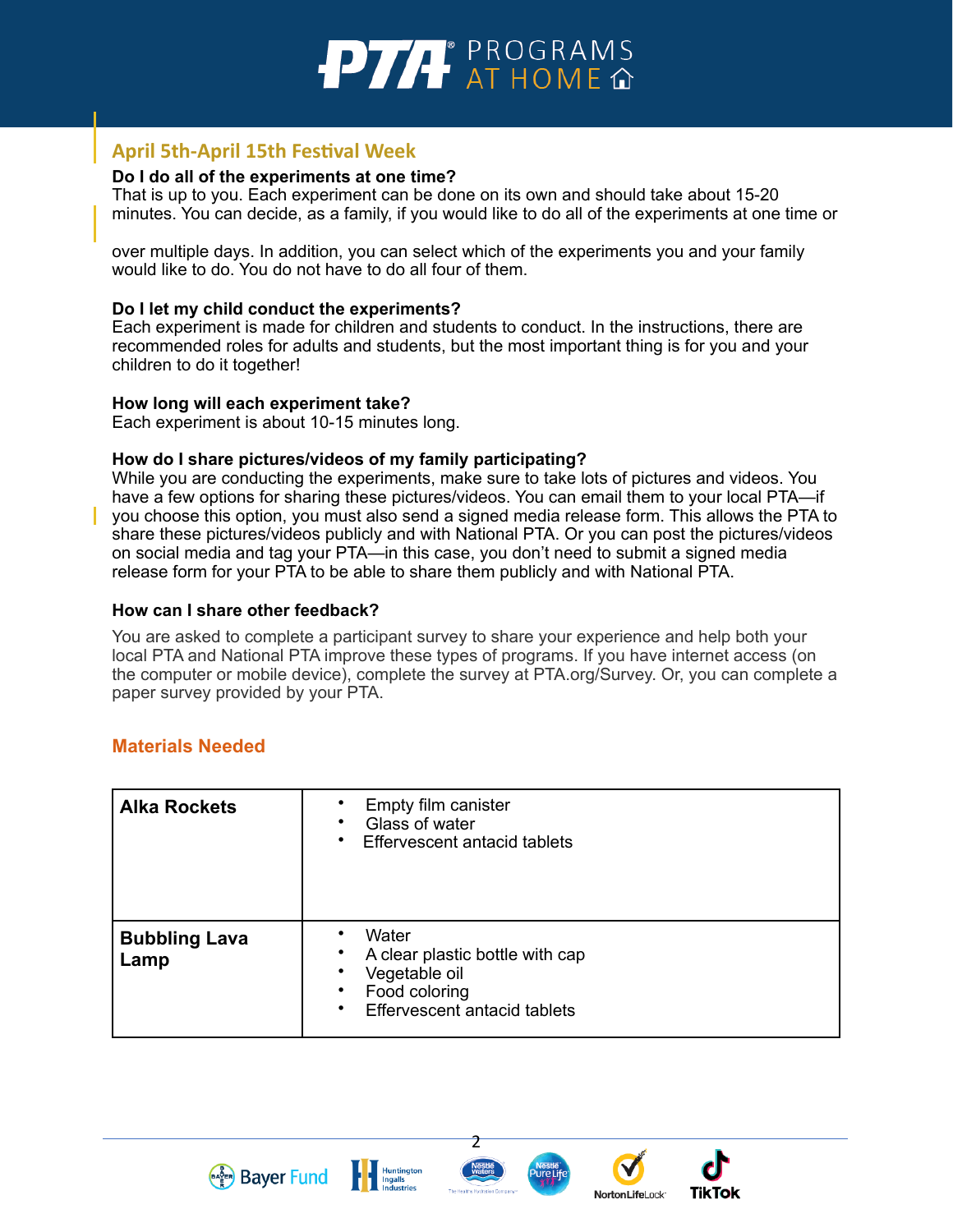

# **April 5th-April 15th Festival Week**

#### **Do I do all of the experiments at one time?**

That is up to you. Each experiment can be done on its own and should take about 15-20 minutes. You can decide, as a family, if you would like to do all of the experiments at one time or

over multiple days. In addition, you can select which of the experiments you and your family would like to do. You do not have to do all four of them.

#### **Do I let my child conduct the experiments?**

Each experiment is made for children and students to conduct. In the instructions, there are recommended roles for adults and students, but the most important thing is for you and your children to do it together!

#### **How long will each experiment take?**

Each experiment is about 10-15 minutes long.

#### **How do I share pictures/videos of my family participating?**

While you are conducting the experiments, make sure to take lots of pictures and videos. You have a few options for sharing these pictures/videos. You can email them to your local PTA—if you choose this option, you must also send a signed media release fo[rm](https://www.pta.org/docs/default-source/files/programs/stem/2021/bayer/tech-free/media-release-form.docx). This allows the PTA to share these pictures/videos publicly and with National PTA. Or you can post the pictures/videos on social media and tag your PTA—in this case, you don't need to submit a signed media release form for your PTA to be able to share them publicly and with National PTA.

#### **How can I share other feedback?**

You are asked to complete a participant survey to share your experience and help both your local PTA and National PTA improve these types of programs. If you have internet access (on the computer or mobile device), complete the survey at PTA.org/Survey. Or, you can complete a paper survey provided by your PTA.

# **Materials Needed**

| <b>Alka Rockets</b>          | Empty film canister<br>Glass of water<br>٠<br>Effervescent antacid tablets<br>$\bullet$                                                        |
|------------------------------|------------------------------------------------------------------------------------------------------------------------------------------------|
| <b>Bubbling Lava</b><br>Lamp | Water<br>A clear plastic bottle with cap<br>٠<br>Vegetable oil<br>٠<br>Food coloring<br>$\bullet$<br>Effervescent antacid tablets<br>$\bullet$ |





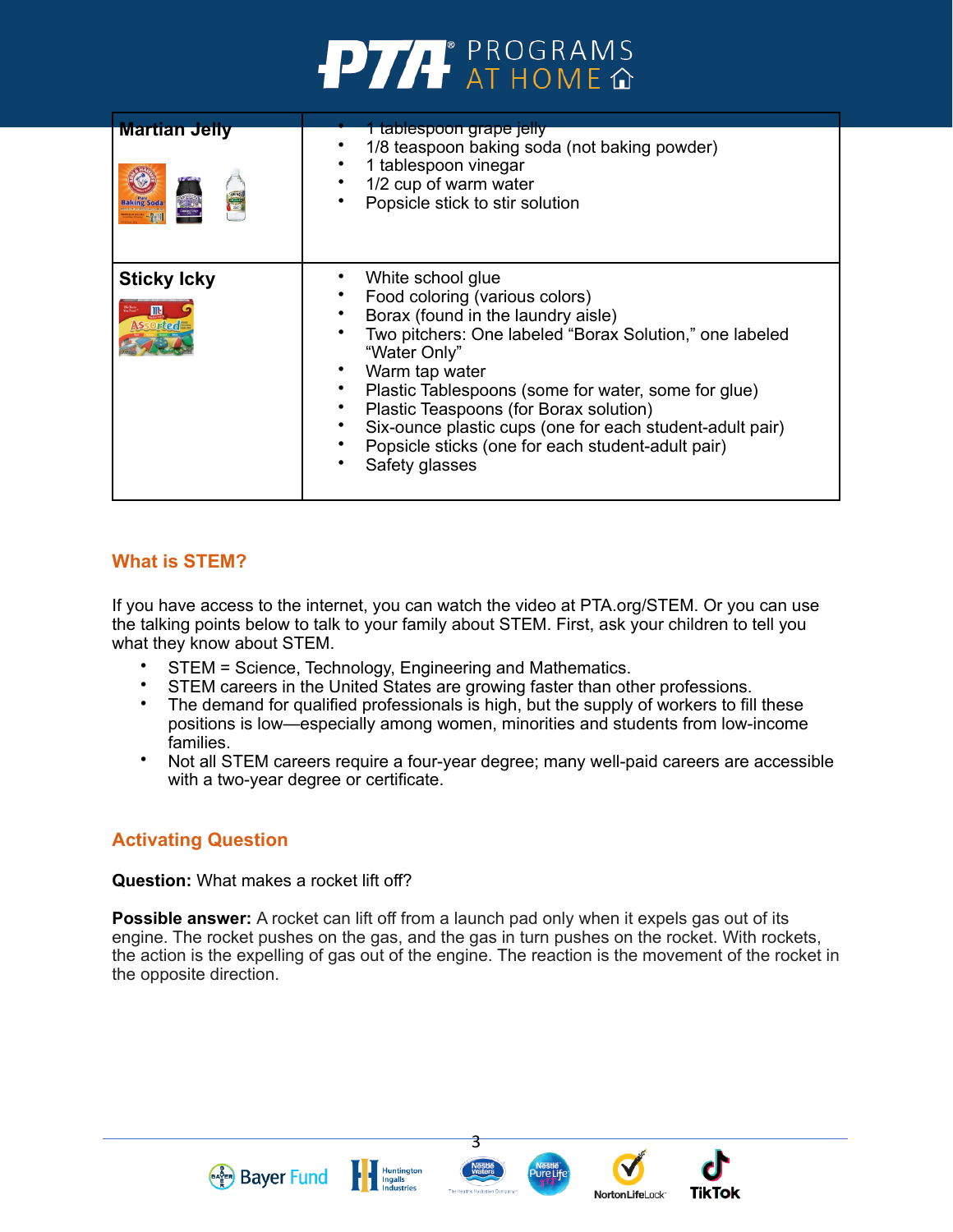# **PTA** PROGRAMS

| <b>Martian Jelly</b><br><b>Baking Soda</b> | 1 tablespoon grape jelly<br>1/8 teaspoon baking soda (not baking powder)<br>1 tablespoon vinegar<br>1/2 cup of warm water<br>Popsicle stick to stir solution                                                                                                                                                                                                                                                               |
|--------------------------------------------|----------------------------------------------------------------------------------------------------------------------------------------------------------------------------------------------------------------------------------------------------------------------------------------------------------------------------------------------------------------------------------------------------------------------------|
| <b>Sticky Icky</b><br><b>SSOrted</b>       | White school glue<br>Food coloring (various colors)<br>Borax (found in the laundry aisle)<br>Two pitchers: One labeled "Borax Solution," one labeled<br>"Water Only"<br>Warm tap water<br>Plastic Tablespoons (some for water, some for glue)<br>Plastic Teaspoons (for Borax solution)<br>Six-ounce plastic cups (one for each student-adult pair)<br>Popsicle sticks (one for each student-adult pair)<br>Safety glasses |

# **What is STEM?**

If you have access to the internet, you can watch the video at PTA.org/STEM. Or you can use the talking points below to talk to your family about STEM. First, ask your children to tell you what they know about STEM.

- STEM = Science, Technology, Engineering and Mathematics.
- STEM careers in the United States are growing faster than other professions.
- The demand for qualified professionals is high, but the supply of workers to fill these positions is low—especially among women, minorities and students from low-income families.
- Not all STEM careers require a four-year degree; many well-paid careers are accessible with a two-year degree or certificate.

# **Activating Question**

#### **Question:** What makes a rocket lift off?

**Bayer Fund Fund Fund Fund Fund E Ingalls** 

**Possible answer:** A rocket can lift off from a launch pad only when it expels gas out of its engine. The rocket pushes on the gas, and the gas in turn pushes on the rocket. With rockets, the action is the expelling of gas out of the engine. The reaction is the movement of the rocket in the opposite direction.



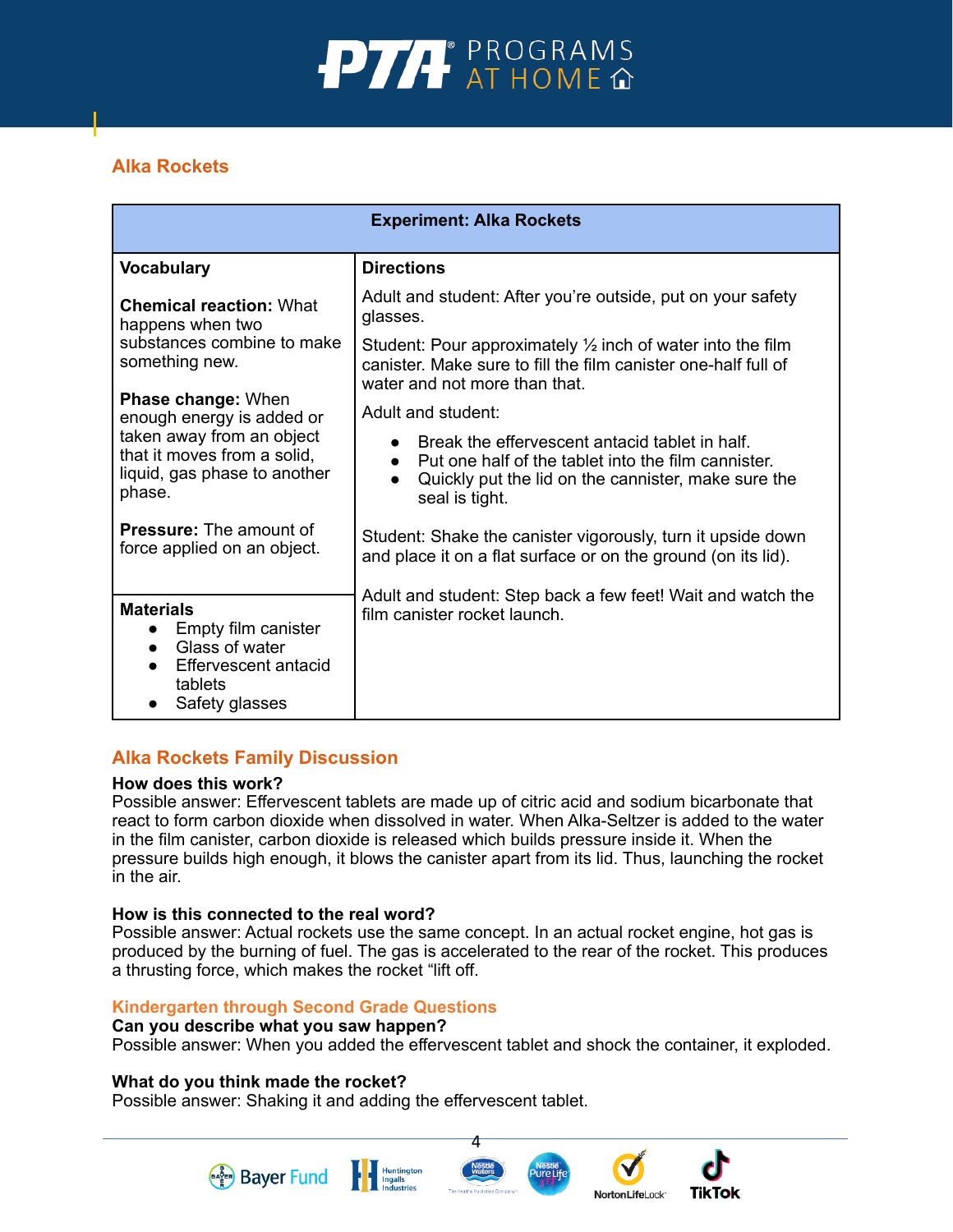

# **Alka Rockets**

| <b>Experiment: Alka Rockets</b>                                                                                             |                                                                                                                                                                                |  |  |  |
|-----------------------------------------------------------------------------------------------------------------------------|--------------------------------------------------------------------------------------------------------------------------------------------------------------------------------|--|--|--|
| <b>Vocabulary</b>                                                                                                           | <b>Directions</b>                                                                                                                                                              |  |  |  |
| <b>Chemical reaction: What</b><br>happens when two                                                                          | Adult and student: After you're outside, put on your safety<br>glasses.                                                                                                        |  |  |  |
| substances combine to make<br>something new.                                                                                | Student: Pour approximately $\frac{1}{2}$ inch of water into the film<br>canister. Make sure to fill the film canister one-half full of<br>water and not more than that.       |  |  |  |
| <b>Phase change: When</b><br>enough energy is added or                                                                      | Adult and student:                                                                                                                                                             |  |  |  |
| taken away from an object<br>that it moves from a solid,<br>liquid, gas phase to another<br>phase.                          | Break the effervescent antacid tablet in half.<br>Put one half of the tablet into the film cannister.<br>Quickly put the lid on the cannister, make sure the<br>seal is tight. |  |  |  |
| <b>Pressure:</b> The amount of<br>force applied on an object.                                                               | Student: Shake the canister vigorously, turn it upside down<br>and place it on a flat surface or on the ground (on its lid).                                                   |  |  |  |
| <b>Materials</b><br>Empty film canister<br>Glass of water<br>$\bullet$<br>Effervescent antacid<br>tablets<br>Safety glasses | Adult and student: Step back a few feet! Wait and watch the<br>film canister rocket launch.                                                                                    |  |  |  |

# **Alka Rockets Family Discussion**

#### **How does this work?**

Possible answer: Effervescent tablets are made up of citric acid and sodium bicarbonate that react to form carbon dioxide when dissolved in water. When Alka-Seltzer is added to the water in the film canister, carbon dioxide is released which builds pressure inside it. When the pressure builds high enough, it blows the canister apart from its lid. Thus, launching the rocket in the air.

#### **How is this connected to the real word?**

Possible answer: Actual rockets use the same concept. In an actual rocket engine, hot gas is produced by the burning of fuel. The gas is accelerated to the rear of the rocket. This produces a thrusting force, which makes the rocket "lift off.

#### **Kindergarten through Second Grade Questions**

#### **Can you describe what you saw happen?**

**Bayer Fund** 

Possible answer: When you added the effervescent tablet and shock the container, it exploded.

4

**TikTok** 

NortonLifeLock<sup>-</sup>

#### **What do you think made the rocket?**

Possible answer: Shaking it and adding the effervescent tablet.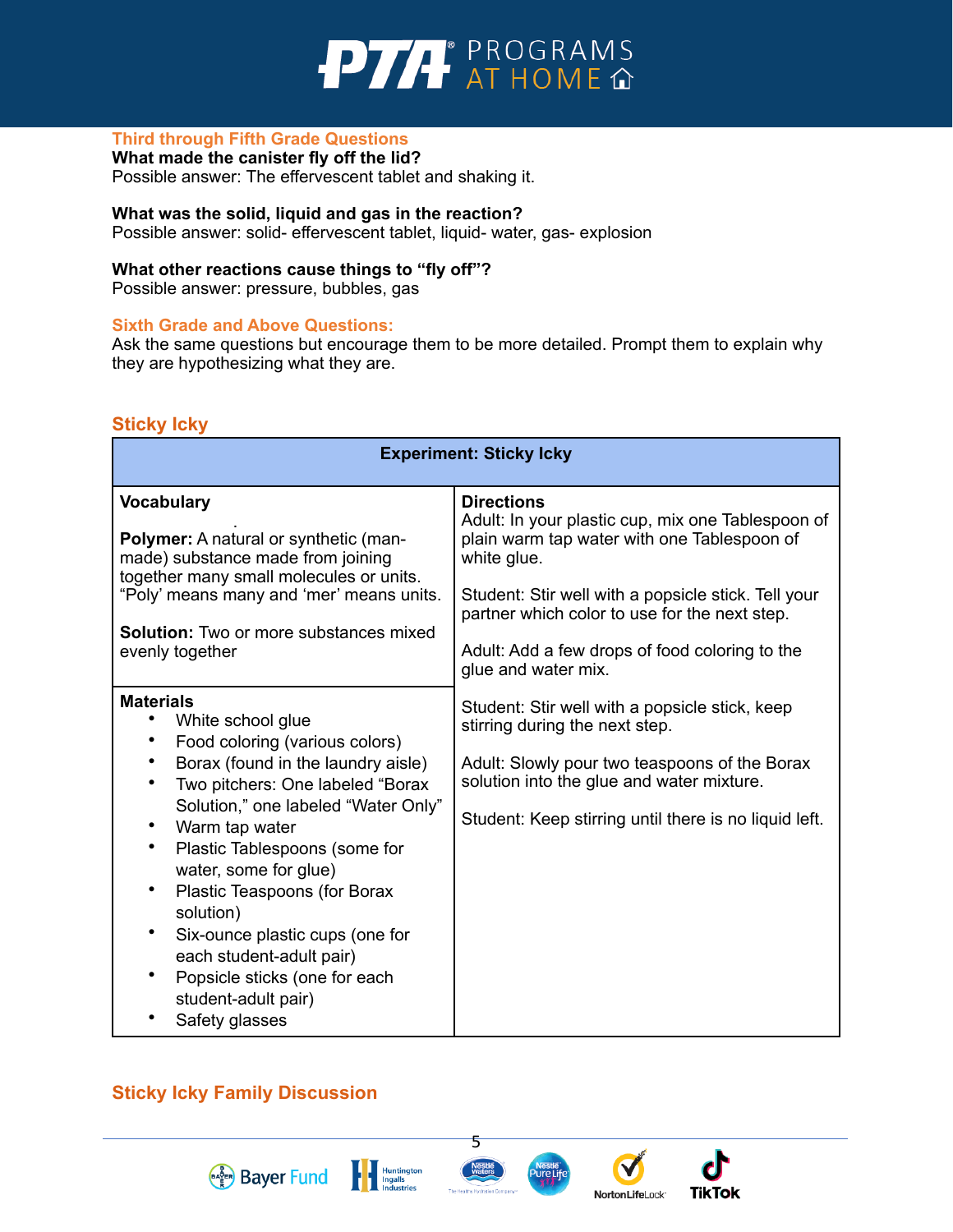

#### **Third through Fifth Grade Questions**

**What made the canister fly off the lid?**  Possible answer: The effervescent tablet and shaking it.

#### **What was the solid, liquid and gas in the reaction?**

Possible answer: solid- effervescent tablet, liquid- water, gas- explosion

#### **What other reactions cause things to "fly off"?**

Possible answer: pressure, bubbles, gas

#### **Sixth Grade and Above Questions:**

Ask the same questions but encourage them to be more detailed. Prompt them to explain why they are hypothesizing what they are.

#### **Sticky Icky**

| <b>Experiment: Sticky Icky</b>                                                                                                                                                                                                                                                                                                                                                                                                                                                       |                                                                                                                                                                                                                                                                                                                       |  |  |  |
|--------------------------------------------------------------------------------------------------------------------------------------------------------------------------------------------------------------------------------------------------------------------------------------------------------------------------------------------------------------------------------------------------------------------------------------------------------------------------------------|-----------------------------------------------------------------------------------------------------------------------------------------------------------------------------------------------------------------------------------------------------------------------------------------------------------------------|--|--|--|
| <b>Vocabulary</b><br>Polymer: A natural or synthetic (man-<br>made) substance made from joining<br>together many small molecules or units.<br>"Poly' means many and 'mer' means units.<br><b>Solution:</b> Two or more substances mixed<br>evenly together                                                                                                                                                                                                                           | <b>Directions</b><br>Adult: In your plastic cup, mix one Tablespoon of<br>plain warm tap water with one Tablespoon of<br>white glue.<br>Student: Stir well with a popsicle stick. Tell your<br>partner which color to use for the next step.<br>Adult: Add a few drops of food coloring to the<br>glue and water mix. |  |  |  |
| <b>Materials</b><br>White school glue<br>Food coloring (various colors)<br>$\bullet$<br>Borax (found in the laundry aisle)<br>Two pitchers: One labeled "Borax<br>Solution," one labeled "Water Only"<br>Warm tap water<br>Plastic Tablespoons (some for<br>water, some for glue)<br>Plastic Teaspoons (for Borax<br>solution)<br>$\bullet$<br>Six-ounce plastic cups (one for<br>each student-adult pair)<br>Popsicle sticks (one for each<br>student-adult pair)<br>Safety glasses | Student: Stir well with a popsicle stick, keep<br>stirring during the next step.<br>Adult: Slowly pour two teaspoons of the Borax<br>solution into the glue and water mixture.<br>Student: Keep stirring until there is no liquid left.                                                                               |  |  |  |

# **Sticky Icky Family Discussion**

**Bayer Fund** 



**Huntington** 



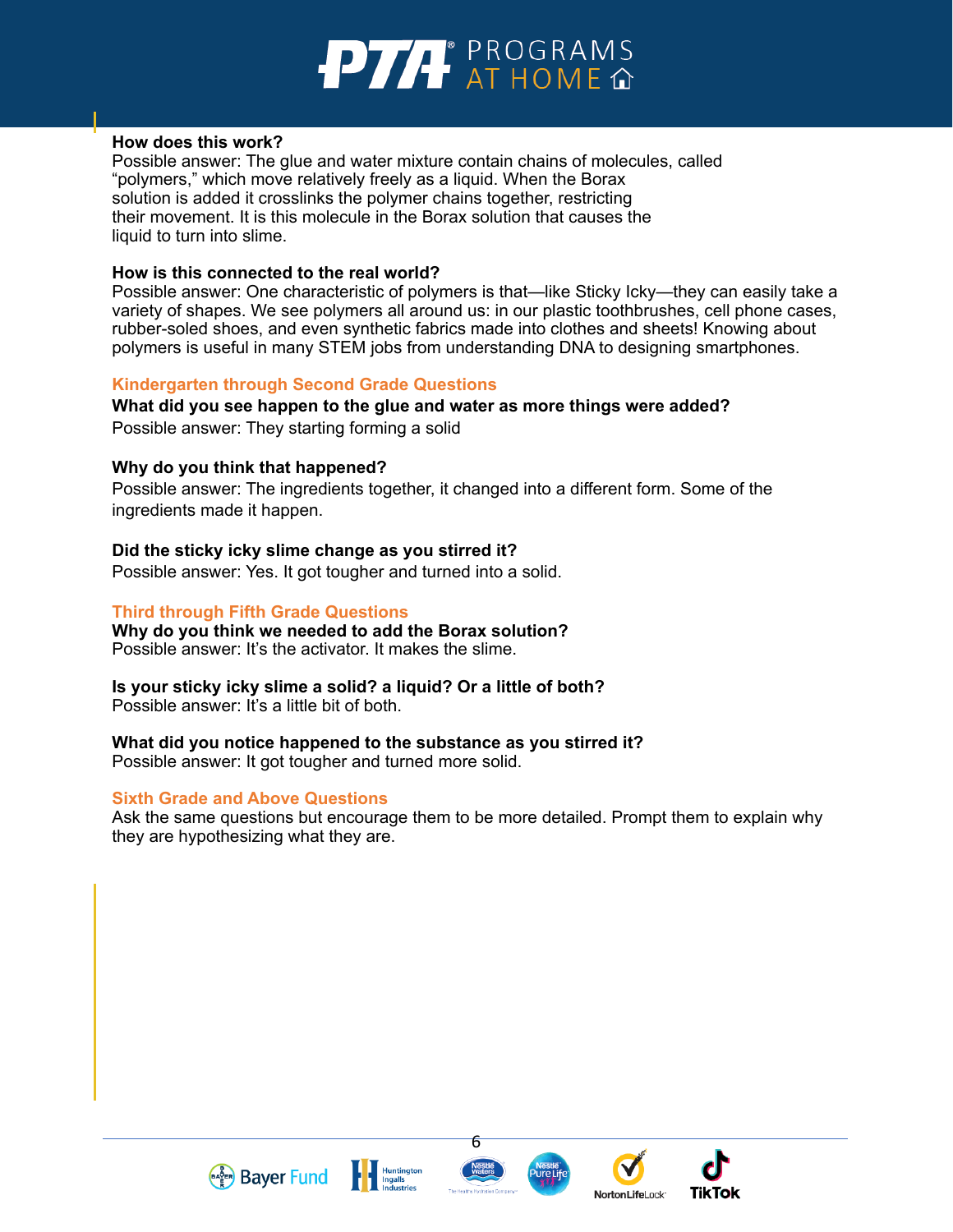

#### **How does this work?**

Possible answer: The glue and water mixture contain chains of molecules, called "polymers," which move relatively freely as a liquid. When the Borax solution is added it crosslinks the polymer chains together, restricting their movement. It is this molecule in the Borax solution that causes the liquid to turn into slime.

#### **How is this connected to the real world?**

Possible answer: One characteristic of polymers is that—like Sticky Icky—they can easily take a variety of shapes. We see polymers all around us: in our plastic toothbrushes, cell phone cases, rubber-soled shoes, and even synthetic fabrics made into clothes and sheets! Knowing about polymers is useful in many STEM jobs from understanding DNA to designing smartphones.

#### **Kindergarten through Second Grade Questions**

# **What did you see happen to the glue and water as more things were added?**

Possible answer: They starting forming a solid

#### **Why do you think that happened?**

Possible answer: The ingredients together, it changed into a different form. Some of the ingredients made it happen.

#### **Did the sticky icky slime change as you stirred it?**

Possible answer: Yes. It got tougher and turned into a solid.

#### **Third through Fifth Grade Questions**

**Why do you think we needed to add the Borax solution?** Possible answer: It's the activator. It makes the slime.

#### **Is your sticky icky slime a solid? a liquid? Or a little of both?**

Possible answer: It's a little bit of both.

#### **What did you notice happened to the substance as you stirred it?**

Possible answer: It got tougher and turned more solid.

#### **Sixth Grade and Above Questions**

**Bayer Fund** 

Ask the same questions but encourage them to be more detailed. Prompt them to explain why they are hypothesizing what they are.





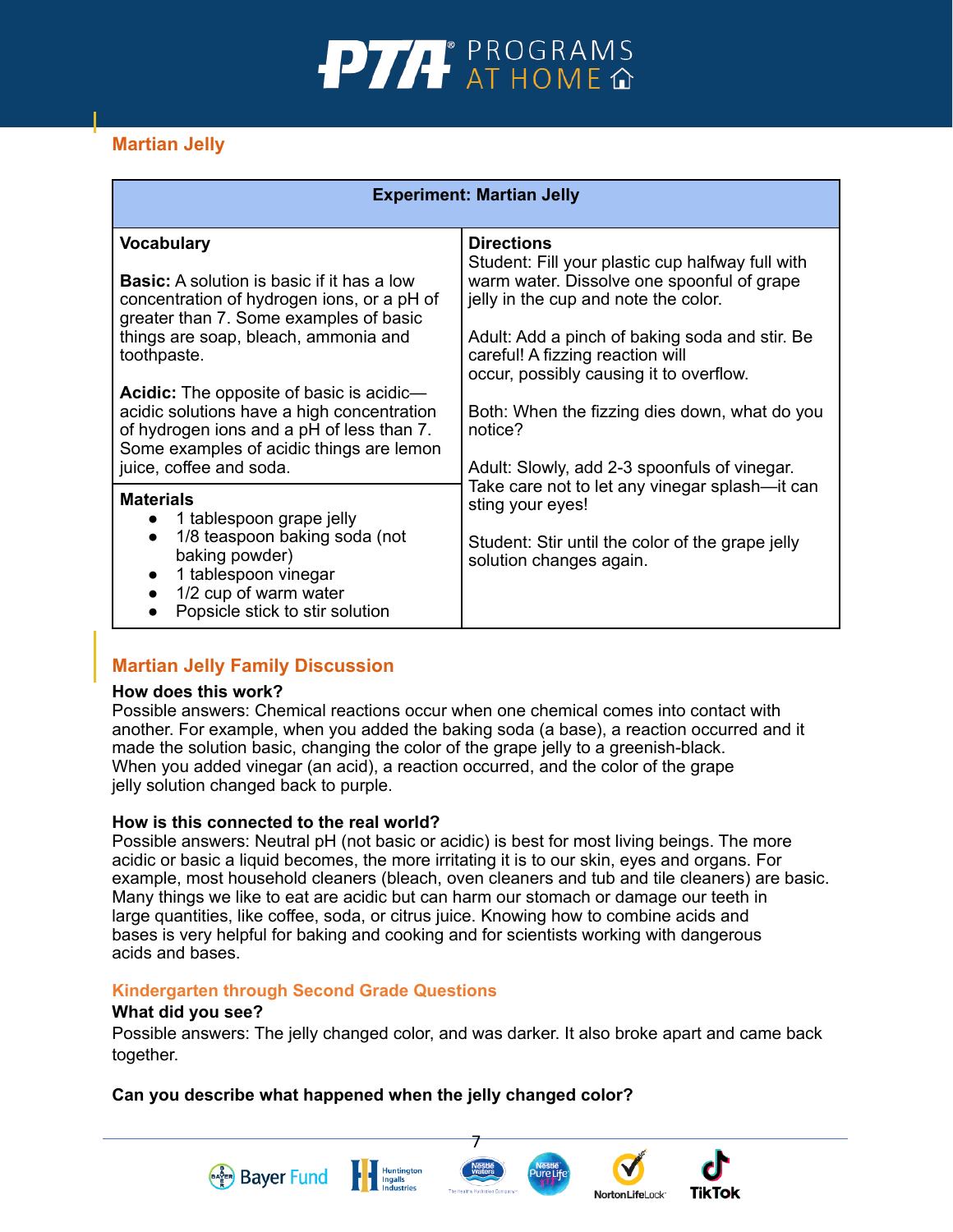# **PTA** PROGRAMS

# **Martian Jelly**

| <b>Experiment: Martian Jelly</b>                                                                                                                                                                                                                                                                                                                                                                                                           |                                                                                                                                                                                                                                                                                                                                                                                                          |  |  |  |
|--------------------------------------------------------------------------------------------------------------------------------------------------------------------------------------------------------------------------------------------------------------------------------------------------------------------------------------------------------------------------------------------------------------------------------------------|----------------------------------------------------------------------------------------------------------------------------------------------------------------------------------------------------------------------------------------------------------------------------------------------------------------------------------------------------------------------------------------------------------|--|--|--|
| <b>Vocabulary</b><br><b>Basic:</b> A solution is basic if it has a low<br>concentration of hydrogen ions, or a pH of<br>greater than 7. Some examples of basic<br>things are soap, bleach, ammonia and<br>toothpaste.<br><b>Acidic:</b> The opposite of basic is acidic—<br>acidic solutions have a high concentration<br>of hydrogen ions and a pH of less than 7.<br>Some examples of acidic things are lemon<br>juice, coffee and soda. | <b>Directions</b><br>Student: Fill your plastic cup halfway full with<br>warm water. Dissolve one spoonful of grape<br>jelly in the cup and note the color.<br>Adult: Add a pinch of baking soda and stir. Be<br>careful! A fizzing reaction will<br>occur, possibly causing it to overflow.<br>Both: When the fizzing dies down, what do you<br>notice?<br>Adult: Slowly, add 2-3 spoonfuls of vinegar. |  |  |  |
| <b>Materials</b><br>1 tablespoon grape jelly<br>1/8 teaspoon baking soda (not<br>baking powder)<br>1 tablespoon vinegar<br>1/2 cup of warm water<br>Popsicle stick to stir solution<br>$\bullet$                                                                                                                                                                                                                                           | Take care not to let any vinegar splash—it can<br>sting your eyes!<br>Student: Stir until the color of the grape jelly<br>solution changes again.                                                                                                                                                                                                                                                        |  |  |  |

# **Martian Jelly Family Discussion**

#### **How does this work?**

Possible answers: Chemical reactions occur when one chemical comes into contact with another. For example, when you added the baking soda (a base), a reaction occurred and it made the solution basic, changing the color of the grape jelly to a greenish-black. When you added vinegar (an acid), a reaction occurred, and the color of the grape jelly solution changed back to purple.

#### **How is this connected to the real world?**

Possible answers: Neutral pH (not basic or acidic) is best for most living beings. The more acidic or basic a liquid becomes, the more irritating it is to our skin, eyes and organs. For example, most household cleaners (bleach, oven cleaners and tub and tile cleaners) are basic. Many things we like to eat are acidic but can harm our stomach or damage our teeth in large quantities, like coffee, soda, or citrus juice. Knowing how to combine acids and bases is very helpful for baking and cooking and for scientists working with dangerous acids and bases.

#### **Kindergarten through Second Grade Questions**

**Bayer Fund** 

#### **What did you see?**

Possible answers: The jelly changed color, and was darker. It also broke apart and came back together.

7

**TikTok** 

**NortonLifeLock** 

# **Can you describe what happened when the jelly changed color?**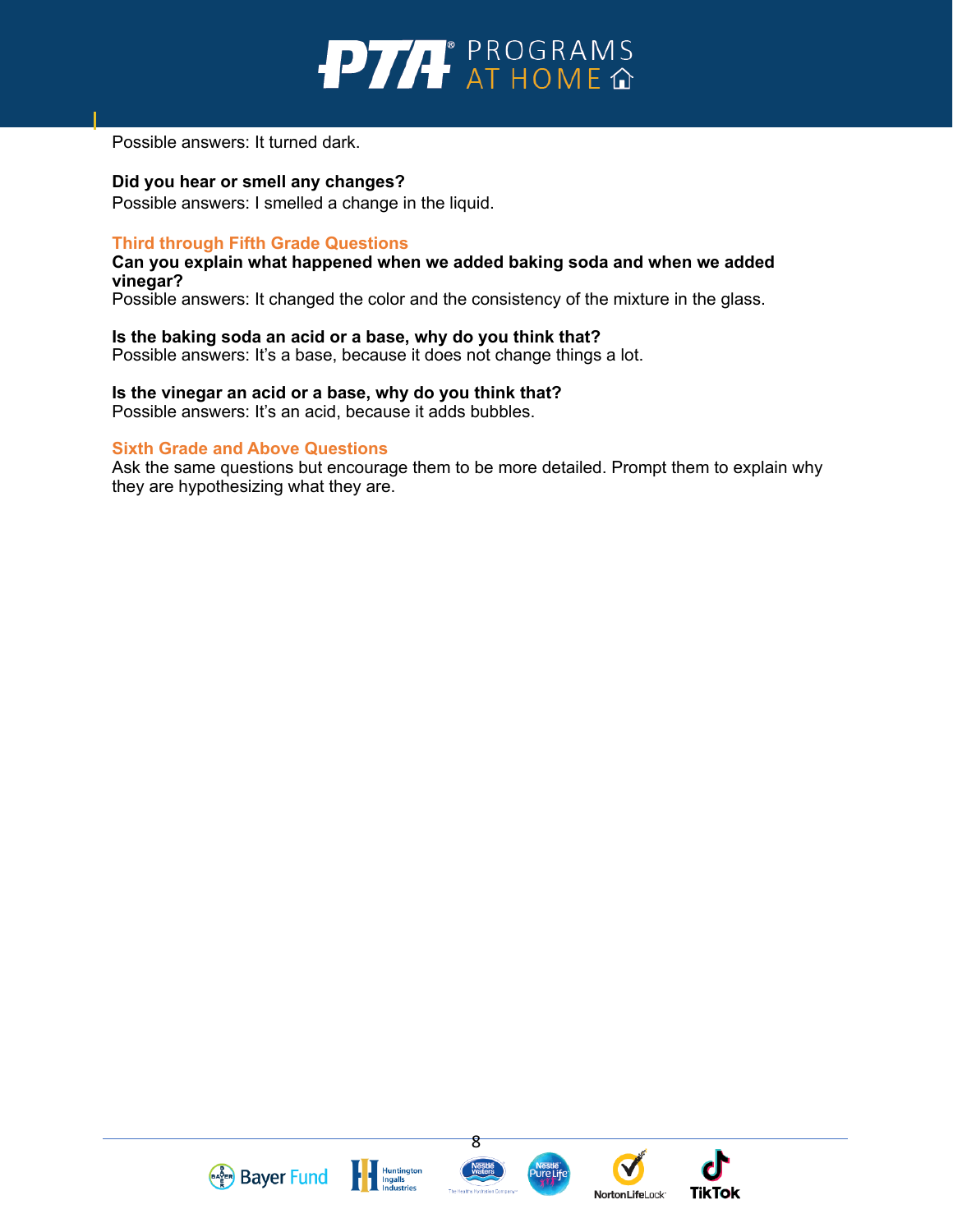

Possible answers: It turned dark.

**Did you hear or smell any changes?**

Possible answers: I smelled a change in the liquid.

#### **Third through Fifth Grade Questions**

**Can you explain what happened when we added baking soda and when we added vinegar?**

Possible answers: It changed the color and the consistency of the mixture in the glass.

#### **Is the baking soda an acid or a base, why do you think that?**

Possible answers: It's a base, because it does not change things a lot.

**Is the vinegar an acid or a base, why do you think that?** Possible answers: It's an acid, because it adds bubbles.

#### **Sixth Grade and Above Questions**

Ask the same questions but encourage them to be more detailed. Prompt them to explain why they are hypothesizing what they are.







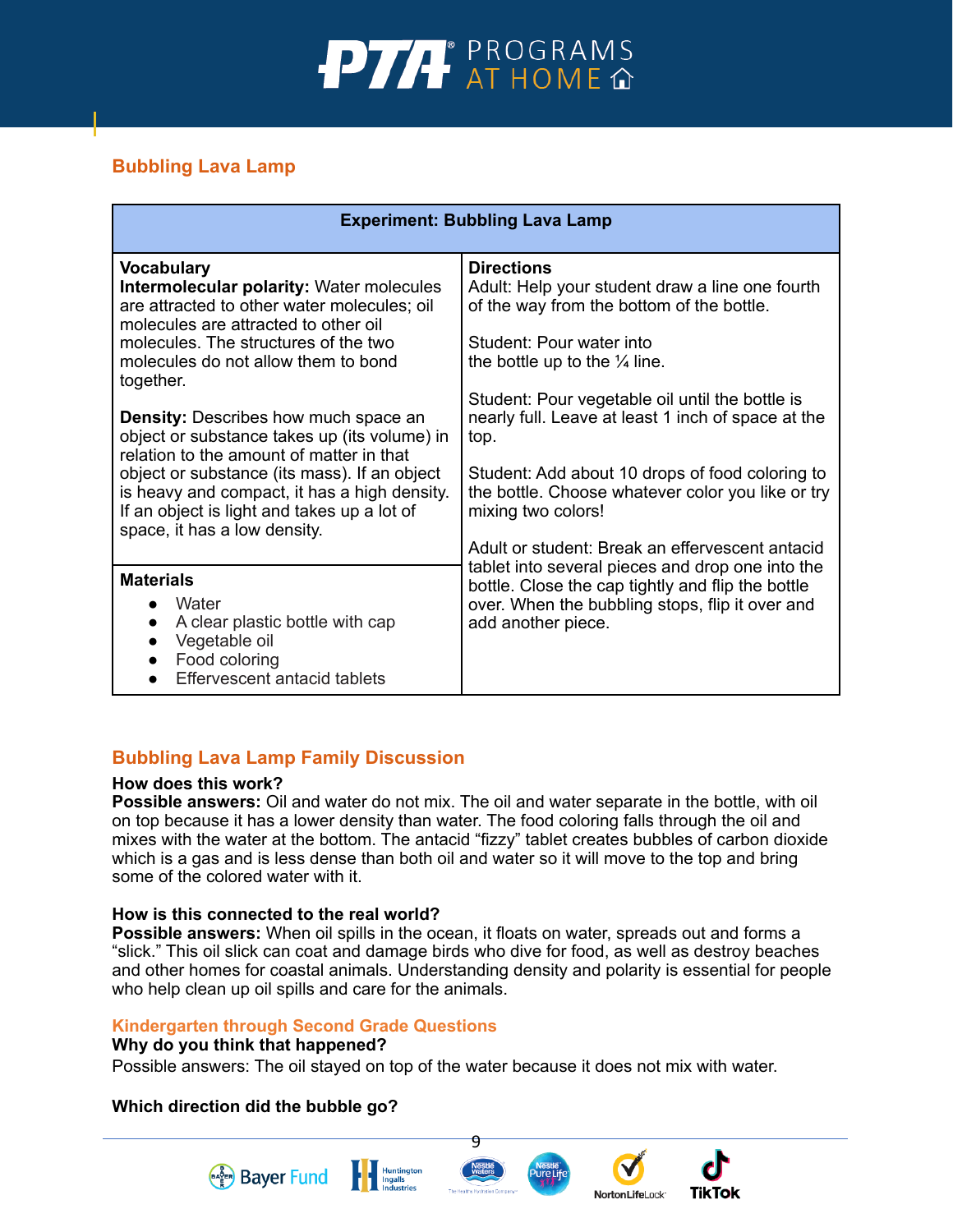

# **Bubbling Lava Lamp**

| <b>Experiment: Bubbling Lava Lamp</b>                                                                                                                                                                                                                                                                  |                                                                                                                                                                                                                                                                                                    |  |  |
|--------------------------------------------------------------------------------------------------------------------------------------------------------------------------------------------------------------------------------------------------------------------------------------------------------|----------------------------------------------------------------------------------------------------------------------------------------------------------------------------------------------------------------------------------------------------------------------------------------------------|--|--|
| <b>Vocabulary</b><br><b>Intermolecular polarity: Water molecules</b><br>are attracted to other water molecules; oil<br>molecules are attracted to other oil<br>molecules. The structures of the two<br>molecules do not allow them to bond<br>together.<br><b>Density:</b> Describes how much space an | <b>Directions</b><br>Adult: Help your student draw a line one fourth<br>of the way from the bottom of the bottle.<br>Student: Pour water into<br>the bottle up to the $\frac{1}{4}$ line.<br>Student: Pour vegetable oil until the bottle is<br>nearly full. Leave at least 1 inch of space at the |  |  |
| object or substance takes up (its volume) in<br>relation to the amount of matter in that<br>object or substance (its mass). If an object<br>is heavy and compact, it has a high density.<br>If an object is light and takes up a lot of<br>space, it has a low density.                                | top.<br>Student: Add about 10 drops of food coloring to<br>the bottle. Choose whatever color you like or try<br>mixing two colors!<br>Adult or student: Break an effervescent antacid                                                                                                              |  |  |
| <b>Materials</b><br>Water<br>A clear plastic bottle with cap<br>$\bullet$<br>Vegetable oil<br>Food coloring<br>Effervescent antacid tablets                                                                                                                                                            | tablet into several pieces and drop one into the<br>bottle. Close the cap tightly and flip the bottle<br>over. When the bubbling stops, flip it over and<br>add another piece.                                                                                                                     |  |  |

# **Bubbling Lava Lamp Family Discussion**

#### **How does this work?**

**Possible answers:** Oil and water do not mix. The oil and water separate in the bottle, with oil on top because it has a lower density than water. The food coloring falls through the oil and mixes with the water at the bottom. The antacid "fizzy" tablet creates bubbles of carbon dioxide which is a gas and is less dense than both oil and water so it will move to the top and bring some of the colored water with it.

#### **How is this connected to the real world?**

**Possible answers:** When oil spills in the ocean, it floats on water, spreads out and forms a "slick." This oil slick can coat and damage birds who dive for food, as well as destroy beaches and other homes for coastal animals. Understanding density and polarity is essential for people who help clean up oil spills and care for the animals.

#### **Kindergarten through Second Grade Questions**

#### **Why do you think that happened?**

Possible answers: The oil stayed on top of the water because it does not mix with water.

#### **Which direction did the bubble go?**